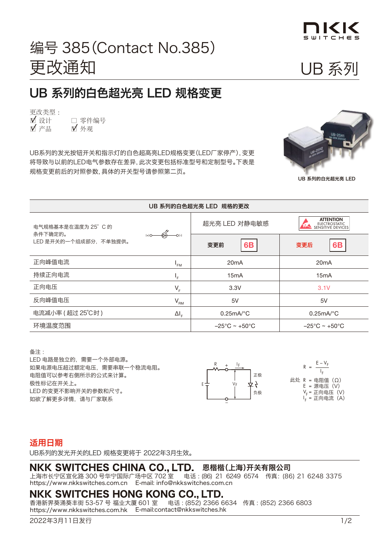

 $\mathbf{U}$ 

### 编号 385 (Contact<br>——————————————————— **CHANGES FOR SUPER BRIGHT WHITE CONSTRUCTS** <u>Changes for Super Bright White LEDs in a starting which we can in the starting</u> 编号 385(Contact No.385) **CHANGES CHANGES FOR SECTION** 更改通知 **Change Notice** 更改类型 :

#### UB 系列的白色超光亮 LED 规格变更 UB 系列的白色超光亮 LED 规格变更 i又丈 □ 实计 □ 零件编号 □ 份受史 □ □ ○ ト

■ <br>■ 设计 □ 产品<br>  $\blacksquare$ 更改类型 : □ 零件编号 ■ 外观

UB Super Bright White LEDs for UB Series publicators will be considered and indicators will be considered and <br>The Super Bright White Lead White Links will be considered and indicate the constant of the constant of the co 将导致与以前的LED电气参数存在差异, 此次变更包括标准型号和定制型号。下表是 规格变更前后的对照参数, 具体的开关型号请参照第二页。 规格变更前后的对照参数, 具体的开关型号请参照第二页。 UB系列的发光按钮开关和指示灯的白色超高亮LED规格变更(LED厂家停产),变更



**UB Series with**  UB 系列的白光超光亮 LED

| UB 系列的白色超光亮 LED 规格的更改             |                                             |                                    |                                                        |  |
|-----------------------------------|---------------------------------------------|------------------------------------|--------------------------------------------------------|--|
| 电气规格基本是在温度为 25°C的                 | $\overset{\mathscr{A}}{\twoheadrightarrow}$ | 超光亮 LED 对静电敏感                      | <b>ATTENTION</b><br>ELECTROSTATIC<br>SENSITIVE DEVICES |  |
| 条件下确定的。<br>LED 是开关的一个组成部分, 不单独提供。 |                                             | 6B<br>变更前                          | <b>6B</b><br>变更后                                       |  |
| 正向峰值电流                            | 'FM                                         | 20 <sub>m</sub> A                  | 20 <sub>m</sub> A                                      |  |
| 持续正向电流                            | ╹╒                                          | 15 <sub>m</sub> A                  | 15 <sub>m</sub> A                                      |  |
| 正向电压                              | $V_{F}$                                     | 3.3V                               | 3.1V                                                   |  |
| 反向峰值电压                            | $\mathsf{V}_{\mathsf{RM}}$                  | 5V                                 | 5V                                                     |  |
| 电流减小率 (超过 25℃时)                   | $\Delta I_{\rm F}$                          | $0.25mA$ <sup>o</sup> C            | $0.25mA$ <sup>o</sup> C                                |  |
| 环境温度范围                            |                                             | $-25^{\circ}$ C ~ +50 $^{\circ}$ C | $-25^{\circ}$ C ~ +50 $^{\circ}$ C                     |  |

#### $\mathcal{L}(\mathcal{L})$  is isolated and requires and requires and requires and requires and requires an external power source. 备注 :

er best results and safe use of the supply voltage use of the supply voltage use of the supply voltage use of <br>The supply voltage use of the supply voltage use of the supply voltage users were also the supply voltage user LED 电路是独立的,需要一个外部电源。 。<br>如果电源电压超过额定电压,需要串联一个稳流电阻。 r. e. ... resistor, the resistor, the resistor showled ballast resistor and the resistor of the resistor of th<br>阻值可以参考右侧所示的公式来计算。 极性标记在开关上。 LED 的变更不影响开关的参数和尺寸。 • Contact information is below if more details are needed. 电阻值可以参考右侧所示的公式来计算。<br><sub>巴</sub>巴马太云:L  $\tt t$   $\tt w$   $\tt t$   $\tt t$   $\tt v$   $\tt v$   $\tt v$   $\tt v$   $\tt v$   $\tt v$   $\tt v$   $\tt v$   $\tt v$   $\tt v$   $\tt v$   $\tt v$   $\tt v$   $\tt v$   $\tt v$   $\tt v$   $\tt v$   $\tt v$   $\tt v$   $\tt v$   $\tt v$   $\tt v$   $\tt v$   $\tt v$   $\tt v$   $\tt v$   $\tt v$   $\tt v$   $\tt v$   $\tt v$   $\tt v$   $\tt v$   $\tt v$ • There are no changes to the switches' external dimensions. 如欲了解更多详情,请与厂家联系 • Contact information is below if more details are needed.



Where: R r<br>此处 R = 电阻值(Ω)  $-V<sub>E</sub>$ = Source Voltage (V) = Forward Voltage (V)  $R =$ I F = Forward Current (A) E = Source Voltag 源电压(V)  $v_F$  $\mathbf{I}_{\mathbf{F}}$  is so that  $\mathbf{I}_{\mathbf{F}}$  $R =$  $E - V_F$  $V_F =$ 正向电压(V) I F = 正向电流(A)

# 适用日期

UB系列的发光开关的LED 规格变更将于 2022年3月生效。  $\lambda$ 0  $\lambda$ 

### $\mathsf{D}_{\mathsf{n}}$  恩楷楷(上海)开关有限公司 715-1 Unane, Takatsu-ku, Kawasaki, Kawasaki, 213-8553 Japan Telesia Japan Telesia Japan Telesia Japan Telesia<br>Telesia di Panaman Telesia Japan Telesia Japan Telesia Japan Telesia Japan Telesia Japan Telesia Japan Telesia

https://www.nkkswitches.com.cn E-mail: info@nkkswitches.com.cn 上海市长宁区宣化路 300 号华宁国际广场中区 702 室  电话:(86) 21 6249 6574 传真:(86) 21 6248 3375

# **NIKK SWITCHES HONG KONG CO. LTD.**

https://www.nkkswitches.com.hk E-mail:contact@nkkswitches.hk 香港新界葵涌葵丰街 53-57 号 福业大厦 601 室 电话 : (852) 2366 6634 传真 : (852) 2366 6803 2019年11月29日发行 1/2